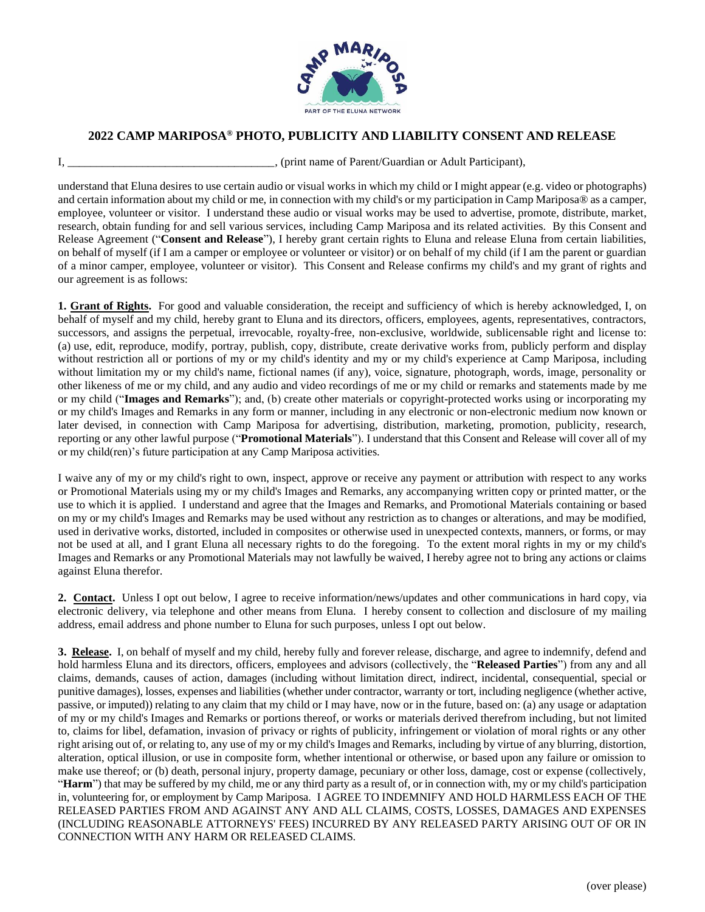

## **2022 CAMP MARIPOSA® PHOTO, PUBLICITY AND LIABILITY CONSENT AND RELEASE**

I, \_\_\_\_\_\_\_\_\_\_\_\_\_\_\_\_\_\_\_\_\_\_\_\_\_\_\_\_\_\_\_\_\_\_\_\_, (print name of Parent/Guardian or Adult Participant),

understand that Eluna desires to use certain audio or visual works in which my child or I might appear (e.g. video or photographs) and certain information about my child or me, in connection with my child's or my participation in Camp Mariposa® as a camper, employee, volunteer or visitor. I understand these audio or visual works may be used to advertise, promote, distribute, market, research, obtain funding for and sell various services, including Camp Mariposa and its related activities. By this Consent and Release Agreement ("**Consent and Release**"), I hereby grant certain rights to Eluna and release Eluna from certain liabilities, on behalf of myself (if I am a camper or employee or volunteer or visitor) or on behalf of my child (if I am the parent or guardian of a minor camper, employee, volunteer or visitor). This Consent and Release confirms my child's and my grant of rights and our agreement is as follows:

**1. Grant of Rights.** For good and valuable consideration, the receipt and sufficiency of which is hereby acknowledged, I, on behalf of myself and my child, hereby grant to Eluna and its directors, officers, employees, agents, representatives, contractors, successors, and assigns the perpetual, irrevocable, royalty-free, non-exclusive, worldwide, sublicensable right and license to: (a) use, edit, reproduce, modify, portray, publish, copy, distribute, create derivative works from, publicly perform and display without restriction all or portions of my or my child's identity and my or my child's experience at Camp Mariposa, including without limitation my or my child's name, fictional names (if any), voice, signature, photograph, words, image, personality or other likeness of me or my child, and any audio and video recordings of me or my child or remarks and statements made by me or my child ("**Images and Remarks**"); and, (b) create other materials or copyright-protected works using or incorporating my or my child's Images and Remarks in any form or manner, including in any electronic or non-electronic medium now known or later devised, in connection with Camp Mariposa for advertising, distribution, marketing, promotion, publicity, research, reporting or any other lawful purpose ("**Promotional Materials**"). I understand that this Consent and Release will cover all of my or my child(ren)'s future participation at any Camp Mariposa activities.

I waive any of my or my child's right to own, inspect, approve or receive any payment or attribution with respect to any works or Promotional Materials using my or my child's Images and Remarks, any accompanying written copy or printed matter, or the use to which it is applied. I understand and agree that the Images and Remarks, and Promotional Materials containing or based on my or my child's Images and Remarks may be used without any restriction as to changes or alterations, and may be modified, used in derivative works, distorted, included in composites or otherwise used in unexpected contexts, manners, or forms, or may not be used at all, and I grant Eluna all necessary rights to do the foregoing. To the extent moral rights in my or my child's Images and Remarks or any Promotional Materials may not lawfully be waived, I hereby agree not to bring any actions or claims against Eluna therefor.

**2. Contact.** Unless I opt out below, I agree to receive information/news/updates and other communications in hard copy, via electronic delivery, via telephone and other means from Eluna. I hereby consent to collection and disclosure of my mailing address, email address and phone number to Eluna for such purposes, unless I opt out below.

**3. Release.** I, on behalf of myself and my child, hereby fully and forever release, discharge, and agree to indemnify, defend and hold harmless Eluna and its directors, officers, employees and advisors (collectively, the "**Released Parties**") from any and all claims, demands, causes of action, damages (including without limitation direct, indirect, incidental, consequential, special or punitive damages), losses, expenses and liabilities (whether under contractor, warranty or tort, including negligence (whether active, passive, or imputed)) relating to any claim that my child or I may have, now or in the future, based on: (a) any usage or adaptation of my or my child's Images and Remarks or portions thereof, or works or materials derived therefrom including, but not limited to, claims for libel, defamation, invasion of privacy or rights of publicity, infringement or violation of moral rights or any other right arising out of, or relating to, any use of my or my child's Images and Remarks, including by virtue of any blurring, distortion, alteration, optical illusion, or use in composite form, whether intentional or otherwise, or based upon any failure or omission to make use thereof; or (b) death, personal injury, property damage, pecuniary or other loss, damage, cost or expense (collectively, "**Harm**") that may be suffered by my child, me or any third party as a result of, or in connection with, my or my child's participation in, volunteering for, or employment by Camp Mariposa. I AGREE TO INDEMNIFY AND HOLD HARMLESS EACH OF THE RELEASED PARTIES FROM AND AGAINST ANY AND ALL CLAIMS, COSTS, LOSSES, DAMAGES AND EXPENSES (INCLUDING REASONABLE ATTORNEYS' FEES) INCURRED BY ANY RELEASED PARTY ARISING OUT OF OR IN CONNECTION WITH ANY HARM OR RELEASED CLAIMS.